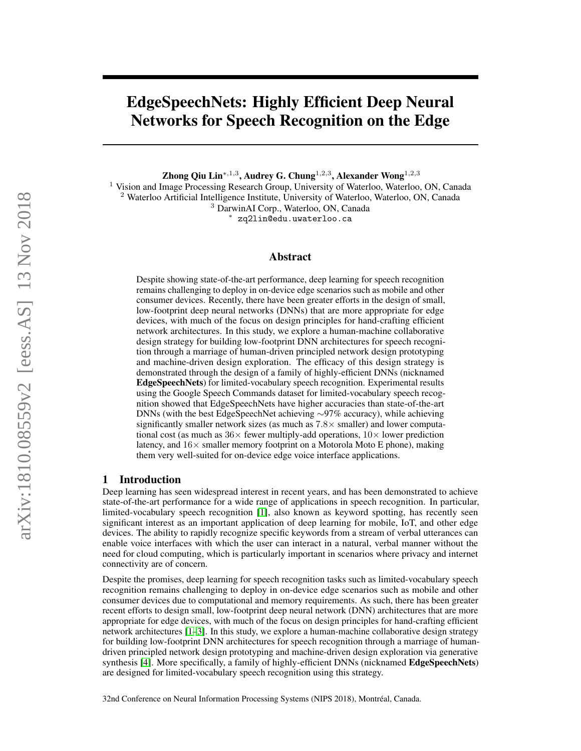# EdgeSpeechNets: Highly Efficient Deep Neural Networks for Speech Recognition on the Edge

Zhong Qiu Lin $^{\ast,1,3},$  Audrey G. Chung $^{1,2,3},$  Alexander Wong $^{1,2,3}$ 

<sup>1</sup> Vision and Image Processing Research Group, University of Waterloo, Waterloo, ON, Canada <sup>2</sup> Waterloo Artificial Intelligence Institute, University of Waterloo, Waterloo, ON, Canada <sup>3</sup> DarwinAI Corp., Waterloo, ON, Canada

<sup>∗</sup> zq2lin@edu.uwaterloo.ca

#### Abstract

Despite showing state-of-the-art performance, deep learning for speech recognition remains challenging to deploy in on-device edge scenarios such as mobile and other consumer devices. Recently, there have been greater efforts in the design of small, low-footprint deep neural networks (DNNs) that are more appropriate for edge devices, with much of the focus on design principles for hand-crafting efficient network architectures. In this study, we explore a human-machine collaborative design strategy for building low-footprint DNN architectures for speech recognition through a marriage of human-driven principled network design prototyping and machine-driven design exploration. The efficacy of this design strategy is demonstrated through the design of a family of highly-efficient DNNs (nicknamed EdgeSpeechNets) for limited-vocabulary speech recognition. Experimental results using the Google Speech Commands dataset for limited-vocabulary speech recognition showed that EdgeSpeechNets have higher accuracies than state-of-the-art DNNs (with the best EdgeSpeechNet achieving ∼97% accuracy), while achieving significantly smaller network sizes (as much as  $7.8\times$  smaller) and lower computational cost (as much as  $36\times$  fewer multiply-add operations,  $10\times$  lower prediction latency, and  $16\times$  smaller memory footprint on a Motorola Moto E phone), making them very well-suited for on-device edge voice interface applications.

#### 1 Introduction

Deep learning has seen widespread interest in recent years, and has been demonstrated to achieve state-of-the-art performance for a wide range of applications in speech recognition. In particular, limited-vocabulary speech recognition [\[1\]](#page-3-0), also known as keyword spotting, has recently seen significant interest as an important application of deep learning for mobile, IoT, and other edge devices. The ability to rapidly recognize specific keywords from a stream of verbal utterances can enable voice interfaces with which the user can interact in a natural, verbal manner without the need for cloud computing, which is particularly important in scenarios where privacy and internet connectivity are of concern.

Despite the promises, deep learning for speech recognition tasks such as limited-vocabulary speech recognition remains challenging to deploy in on-device edge scenarios such as mobile and other consumer devices due to computational and memory requirements. As such, there has been greater recent efforts to design small, low-footprint deep neural network (DNN) architectures that are more appropriate for edge devices, with much of the focus on design principles for hand-crafting efficient network architectures [\[1](#page-3-0)[–3\]](#page-3-1). In this study, we explore a human-machine collaborative design strategy for building low-footprint DNN architectures for speech recognition through a marriage of humandriven principled network design prototyping and machine-driven design exploration via generative synthesis [\[4\]](#page-3-2). More specifically, a family of highly-efficient DNNs (nicknamed EdgeSpeechNets) are designed for limited-vocabulary speech recognition using this strategy.

32nd Conference on Neural Information Processing Systems (NIPS 2018), Montréal, Canada.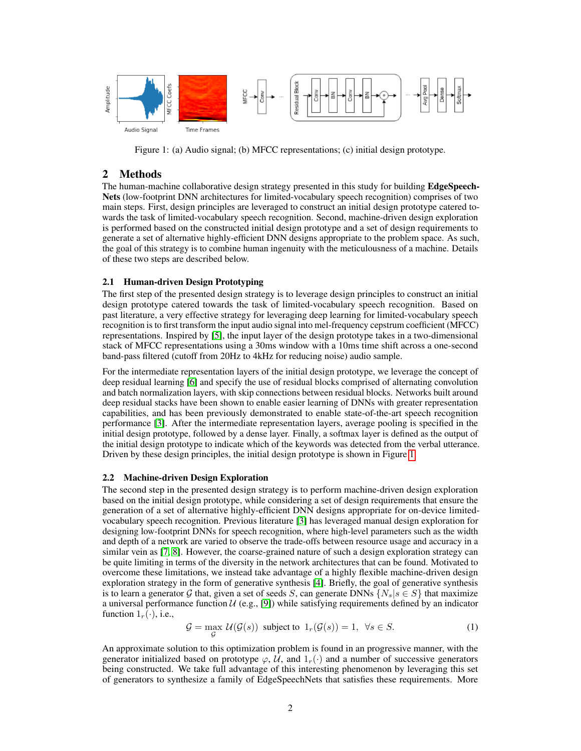

<span id="page-1-0"></span>Figure 1: (a) Audio signal; (b) MFCC representations; (c) initial design prototype.

### 2 Methods

The human-machine collaborative design strategy presented in this study for building EdgeSpeech-Nets (low-footprint DNN architectures for limited-vocabulary speech recognition) comprises of two main steps. First, design principles are leveraged to construct an initial design prototype catered towards the task of limited-vocabulary speech recognition. Second, machine-driven design exploration is performed based on the constructed initial design prototype and a set of design requirements to generate a set of alternative highly-efficient DNN designs appropriate to the problem space. As such, the goal of this strategy is to combine human ingenuity with the meticulousness of a machine. Details of these two steps are described below.

#### 2.1 Human-driven Design Prototyping

The first step of the presented design strategy is to leverage design principles to construct an initial design prototype catered towards the task of limited-vocabulary speech recognition. Based on past literature, a very effective strategy for leveraging deep learning for limited-vocabulary speech recognition is to first transform the input audio signal into mel-frequency cepstrum coefficient (MFCC) representations. Inspired by [\[5\]](#page-3-3), the input layer of the design prototype takes in a two-dimensional stack of MFCC representations using a 30ms window with a 10ms time shift across a one-second band-pass filtered (cutoff from 20Hz to 4kHz for reducing noise) audio sample.

For the intermediate representation layers of the initial design prototype, we leverage the concept of deep residual learning [\[6\]](#page-3-4) and specify the use of residual blocks comprised of alternating convolution and batch normalization layers, with skip connections between residual blocks. Networks built around deep residual stacks have been shown to enable easier learning of DNNs with greater representation capabilities, and has been previously demonstrated to enable state-of-the-art speech recognition performance [\[3\]](#page-3-1). After the intermediate representation layers, average pooling is specified in the initial design prototype, followed by a dense layer. Finally, a softmax layer is defined as the output of the initial design prototype to indicate which of the keywords was detected from the verbal utterance. Driven by these design principles, the initial design prototype is shown in Figure [1.](#page-1-0)

#### 2.2 Machine-driven Design Exploration

The second step in the presented design strategy is to perform machine-driven design exploration based on the initial design prototype, while considering a set of design requirements that ensure the generation of a set of alternative highly-efficient DNN designs appropriate for on-device limitedvocabulary speech recognition. Previous literature [\[3\]](#page-3-1) has leveraged manual design exploration for designing low-footprint DNNs for speech recognition, where high-level parameters such as the width and depth of a network are varied to observe the trade-offs between resource usage and accuracy in a similar vein as [\[7,](#page-3-5) [8\]](#page-3-6). However, the coarse-grained nature of such a design exploration strategy can be quite limiting in terms of the diversity in the network architectures that can be found. Motivated to overcome these limitations, we instead take advantage of a highly flexible machine-driven design exploration strategy in the form of generative synthesis [\[4\]](#page-3-2). Briefly, the goal of generative synthesis is to learn a generator G that, given a set of seeds S, can generate DNNs  $\{N_s | s \in S\}$  that maximize a universal performance function  $U$  (e.g., [\[9\]](#page-3-7)) while satisfying requirements defined by an indicator function  $1_r(\cdot)$ , i.e.,

$$
\mathcal{G} = \max_{\mathcal{G}} \mathcal{U}(\mathcal{G}(s)) \text{ subject to } 1_r(\mathcal{G}(s)) = 1, \ \forall s \in S. \tag{1}
$$

An approximate solution to this optimization problem is found in an progressive manner, with the generator initialized based on prototype  $\varphi$ , U, and  $1_r(\cdot)$  and a number of successive generators being constructed. We take full advantage of this interesting phenomenon by leveraging this set of generators to synthesize a family of EdgeSpeechNets that satisfies these requirements. More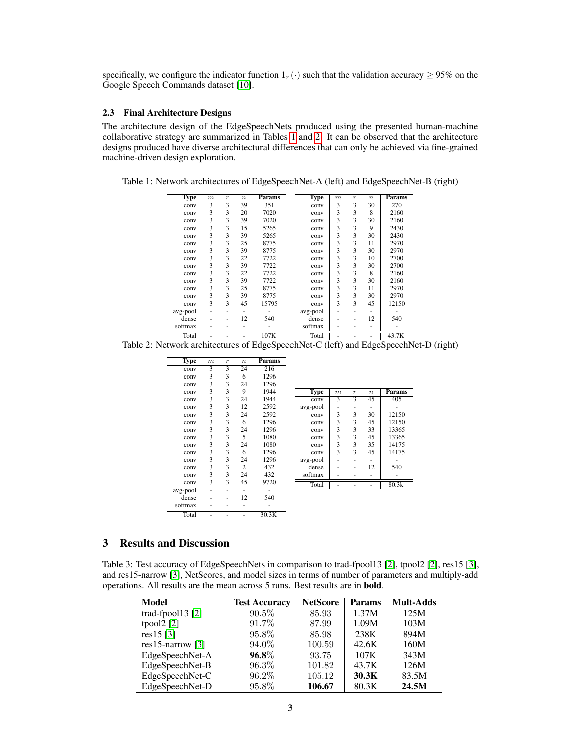specifically, we configure the indicator function  $1_r(\cdot)$  such that the validation accuracy  $\geq 95\%$  on the Google Speech Commands dataset [\[10\]](#page-3-8).

#### 2.3 Final Architecture Designs

The architecture design of the EdgeSpeechNets produced using the presented human-machine collaborative strategy are summarized in Tables [1](#page-2-0) and [2.](#page-2-1) It can be observed that the architecture designs produced have diverse architectural differences that can only be achieved via fine-grained machine-driven design exploration.

<span id="page-2-0"></span>

| <b>Type</b> | $\boldsymbol{m}$ | $\boldsymbol{r}$ | $\boldsymbol{n}$ | Params | <b>Type</b> | $\boldsymbol{m}$ | $\boldsymbol{r}$ | $\boldsymbol{n}$ | Params |
|-------------|------------------|------------------|------------------|--------|-------------|------------------|------------------|------------------|--------|
| conv        | 3                | 3                | 39               | 351    | conv        | 3                | 3                | 30               | 270    |
| conv        | 3                | 3                | 20               | 7020   | conv        | 3                | 3                | 8                | 2160   |
| conv        | 3                | 3                | 39               | 7020   | conv        | 3                | 3                | 30               | 2160   |
| conv        | 3                | 3                | 15               | 5265   | conv        | 3                | 3                | 9                | 2430   |
| conv        | 3                | 3                | 39               | 5265   | conv        | 3                | 3                | 30               | 2430   |
| conv        | 3                | 3                | 25               | 8775   | conv        | 3                | 3                | 11               | 2970   |
| conv        | 3                | 3                | 39               | 8775   | conv        | 3                | 3                | 30               | 2970   |
| conv        | 3                | 3                | 22               | 7722   | conv        | 3                | 3                | 10               | 2700   |
| conv        | 3                | 3                | 39               | 7722   | conv        | 3                | 3                | 30               | 2700   |
| conv        | 3                | 3                | 22               | 7722   | conv        | 3                | 3                | 8                | 2160   |
| conv        | 3                | 3                | 39               | 7722   | conv        | 3                | 3                | 30               | 2160   |
| conv        | 3                | 3                | 25               | 8775   | conv        | 3                | 3                | 11               | 2970   |
| conv        | 3                | 3                | 39               | 8775   | conv        | 3                | 3                | 30               | 2970   |
| conv        | 3                | 3                | 45               | 15795  | conv        | 3                | 3                | 45               | 12150  |
| avg-pool    |                  | ۰                | ۰                |        | avg-pool    |                  | -                |                  |        |
| dense       |                  | ۰                | 12               | 540    | dense       | -                | -                | 12               | 540    |
| softmax     |                  |                  |                  |        | softmax     |                  |                  |                  |        |
| Total       |                  |                  |                  | 107K   | Total       |                  |                  |                  | 43.7K  |

Table 1: Network architectures of EdgeSpeechNet-A (left) and EdgeSpeechNet-B (right)

Total | - - - | 107K<br>Table 2: Network architectures of EdgeSpeechNet-C (left) and EdgeSpeechNet-D (right)

<span id="page-2-1"></span>

| <b>Type</b> | $_{m}$ | $\boldsymbol{r}$ | $\boldsymbol{n}$ | Params |             |        |                  |                  |        |
|-------------|--------|------------------|------------------|--------|-------------|--------|------------------|------------------|--------|
| conv        | 3      | 3                | 24               | 216    |             |        |                  |                  |        |
| conv        | 3      | 3                | 6                | 1296   |             |        |                  |                  |        |
| conv        | 3      | 3                | 24               | 1296   |             |        |                  |                  |        |
| conv        | 3      | 3                | 9                | 1944   | <b>Type</b> | $_{m}$ | $\boldsymbol{r}$ | $\boldsymbol{n}$ | Params |
| conv        | 3      | 3                | 24               | 1944   | conv        | 3      | 3                | 45               | 405    |
| conv        | 3      | 3                | 12               | 2592   | avg-pool    | ٠      | ٠                | -                |        |
| conv        | 3      | 3                | 24               | 2592   | conv        | 3      | 3                | 30               | 12150  |
| conv        | 3      | 3                | 6                | 1296   | conv        | 3      | 3                | 45               | 12150  |
| conv        | 3      | 3                | 24               | 1296   | conv        | 3      | 3                | 33               | 13365  |
| conv        | 3      | 3                | 5                | 1080   | conv        | 3      | 3                | 45               | 13365  |
| conv        | 3      | 3                | 24               | 1080   | conv        | 3      | 3                | 35               | 14175  |
| conv        | 3      | 3                | 6                | 1296   | conv        | 3      | 3                | 45               | 14175  |
| conv        | 3      | 3                | 24               | 1296   | avg-pool    |        |                  |                  |        |
| conv        | 3      | 3                | $\overline{c}$   | 432    | dense       | ٠      | ٠                | 12               | 540    |
| conv        | 3      | 3                | 24               | 432    | softmax     |        |                  |                  |        |
| conv        | 3      | 3                | 45               | 9720   | Total       |        |                  |                  | 80.3k  |
| avg-pool    |        |                  |                  |        |             |        |                  |                  |        |
| dense       | ٠      | ۰                | 12               | 540    |             |        |                  |                  |        |
| softmax     | ٠      | ۰                |                  |        |             |        |                  |                  |        |
| Total       | ٠      |                  |                  | 30.3K  |             |        |                  |                  |        |

## 3 Results and Discussion

<span id="page-2-2"></span>Table 3: Test accuracy of EdgeSpeechNets in comparison to trad-fpool13 [\[2\]](#page-3-9), tpool2 [\[2\]](#page-3-9), res15 [\[3\]](#page-3-1), and res15-narrow [\[3\]](#page-3-1), NetScores, and model sizes in terms of number of parameters and multiply-add operations. All results are the mean across 5 runs. Best results are in bold.

| <b>Model</b>       | <b>Test Accuracy</b> | <b>NetScore</b> | <b>Params</b> | <b>Mult-Adds</b> |
|--------------------|----------------------|-----------------|---------------|------------------|
| trad-fpool13 $[2]$ | $90.5\%$             | 85.93           | 1.37M         | 125M             |
| tpool $2$ [2]      | 91.7%                | 87.99           | 1.09M         | 103M             |
| res15[3]           | $95.8\%$             | 85.98           | 238K          | 894M             |
| $res15-narrow$ [3] | 94.0%                | 100.59          | 42.6K         | 160M             |
| EdgeSpeechNet-A    | $96.8\%$             | 93.75           | 107K          | 343M             |
| EdgeSpeechNet-B    | $96.3\%$             | 101.82          | 43.7K         | 126M             |
| EdgeSpeechNet-C    | 96.2%                | 105.12          | 30.3K         | 83.5M            |
| EdgeSpeechNet-D    | 95.8%                | 106.67          | 80.3K         | 24.5M            |